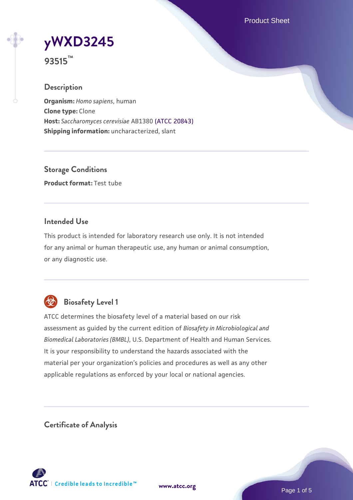Product Sheet

**[yWXD3245](https://www.atcc.org/products/93515)**

**93515™**

## **Description**

**Organism:** *Homo sapiens*, human **Clone type:** Clone **Host:** *Saccharomyces cerevisiae* AB1380 [\(ATCC 20843\)](https://www.atcc.org/products/20843) **Shipping information:** uncharacterized, slant

**Storage Conditions Product format:** Test tube

## **Intended Use**

This product is intended for laboratory research use only. It is not intended for any animal or human therapeutic use, any human or animal consumption, or any diagnostic use.



## **Biosafety Level 1**

ATCC determines the biosafety level of a material based on our risk assessment as guided by the current edition of *Biosafety in Microbiological and Biomedical Laboratories (BMBL)*, U.S. Department of Health and Human Services. It is your responsibility to understand the hazards associated with the material per your organization's policies and procedures as well as any other applicable regulations as enforced by your local or national agencies.

**Certificate of Analysis**

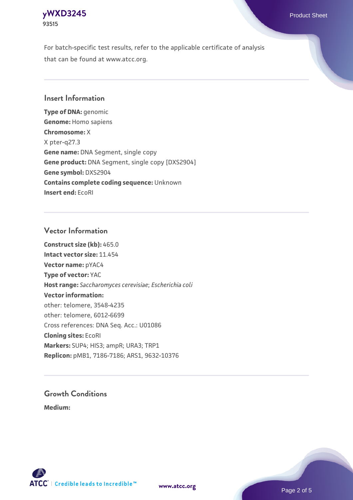## **[yWXD3245](https://www.atcc.org/products/93515)** Product Sheet **93515**

For batch-specific test results, refer to the applicable certificate of analysis that can be found at www.atcc.org.

## **Insert Information**

**Type of DNA:** genomic **Genome:** Homo sapiens **Chromosome:** X X pter-q27.3 **Gene name:** DNA Segment, single copy **Gene product:** DNA Segment, single copy [DXS2904] **Gene symbol:** DXS2904 **Contains complete coding sequence:** Unknown **Insert end:** EcoRI

## **Vector Information**

**Construct size (kb):** 465.0 **Intact vector size:** 11.454 **Vector name:** pYAC4 **Type of vector:** YAC **Host range:** *Saccharomyces cerevisiae*; *Escherichia coli* **Vector information:** other: telomere, 3548-4235 other: telomere, 6012-6699 Cross references: DNA Seq. Acc.: U01086 **Cloning sites:** EcoRI **Markers:** SUP4; HIS3; ampR; URA3; TRP1 **Replicon:** pMB1, 7186-7186; ARS1, 9632-10376

# **Growth Conditions**

**Medium:** 



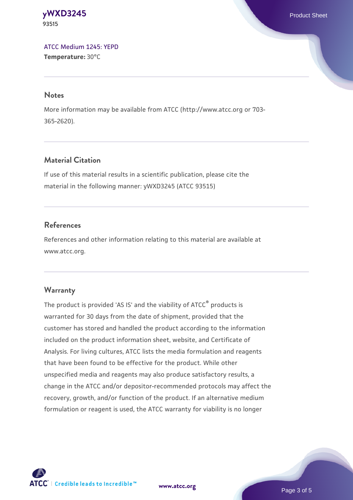#### **[yWXD3245](https://www.atcc.org/products/93515)** Product Sheet **93515**

[ATCC Medium 1245: YEPD](https://www.atcc.org/-/media/product-assets/documents/microbial-media-formulations/1/2/4/5/atcc-medium-1245.pdf?rev=705ca55d1b6f490a808a965d5c072196) **Temperature:** 30°C

#### **Notes**

More information may be available from ATCC (http://www.atcc.org or 703- 365-2620).

## **Material Citation**

If use of this material results in a scientific publication, please cite the material in the following manner: yWXD3245 (ATCC 93515)

## **References**

References and other information relating to this material are available at www.atcc.org.

## **Warranty**

The product is provided 'AS IS' and the viability of ATCC® products is warranted for 30 days from the date of shipment, provided that the customer has stored and handled the product according to the information included on the product information sheet, website, and Certificate of Analysis. For living cultures, ATCC lists the media formulation and reagents that have been found to be effective for the product. While other unspecified media and reagents may also produce satisfactory results, a change in the ATCC and/or depositor-recommended protocols may affect the recovery, growth, and/or function of the product. If an alternative medium formulation or reagent is used, the ATCC warranty for viability is no longer



**[www.atcc.org](http://www.atcc.org)**

Page 3 of 5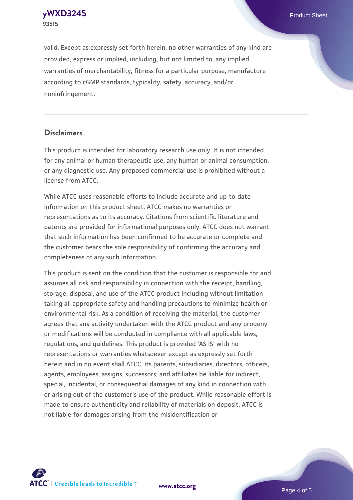**[yWXD3245](https://www.atcc.org/products/93515)** Product Sheet **93515**

valid. Except as expressly set forth herein, no other warranties of any kind are provided, express or implied, including, but not limited to, any implied warranties of merchantability, fitness for a particular purpose, manufacture according to cGMP standards, typicality, safety, accuracy, and/or noninfringement.

#### **Disclaimers**

This product is intended for laboratory research use only. It is not intended for any animal or human therapeutic use, any human or animal consumption, or any diagnostic use. Any proposed commercial use is prohibited without a license from ATCC.

While ATCC uses reasonable efforts to include accurate and up-to-date information on this product sheet, ATCC makes no warranties or representations as to its accuracy. Citations from scientific literature and patents are provided for informational purposes only. ATCC does not warrant that such information has been confirmed to be accurate or complete and the customer bears the sole responsibility of confirming the accuracy and completeness of any such information.

This product is sent on the condition that the customer is responsible for and assumes all risk and responsibility in connection with the receipt, handling, storage, disposal, and use of the ATCC product including without limitation taking all appropriate safety and handling precautions to minimize health or environmental risk. As a condition of receiving the material, the customer agrees that any activity undertaken with the ATCC product and any progeny or modifications will be conducted in compliance with all applicable laws, regulations, and guidelines. This product is provided 'AS IS' with no representations or warranties whatsoever except as expressly set forth herein and in no event shall ATCC, its parents, subsidiaries, directors, officers, agents, employees, assigns, successors, and affiliates be liable for indirect, special, incidental, or consequential damages of any kind in connection with or arising out of the customer's use of the product. While reasonable effort is made to ensure authenticity and reliability of materials on deposit, ATCC is not liable for damages arising from the misidentification or



**[www.atcc.org](http://www.atcc.org)**

Page 4 of 5